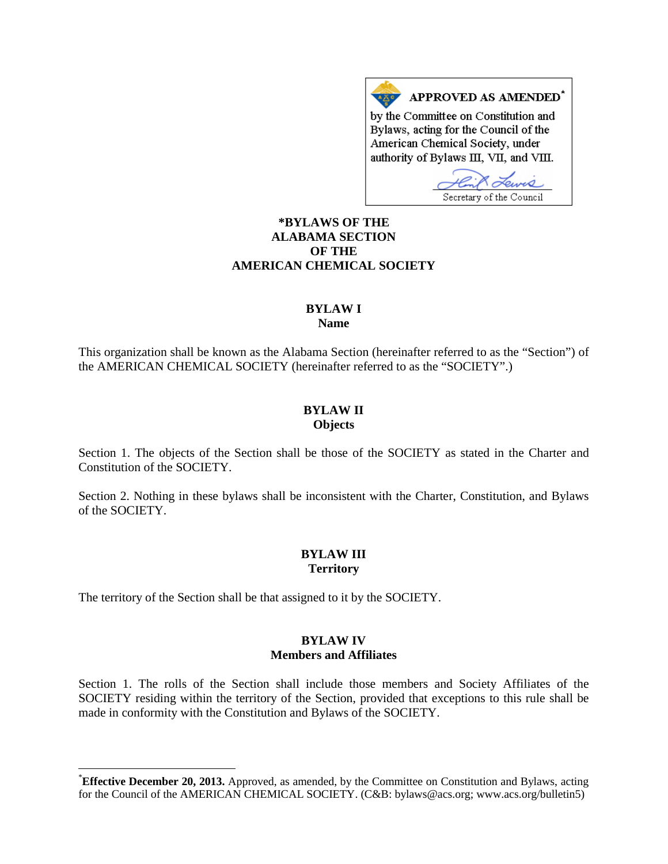APPROVED AS AMENDED\*  $A \underline{X}$ o by the Committee on Constitution and Bylaws, acting for the Council of the American Chemical Society, under authority of Bylaws III, VII, and VIII.

Secretary of the Council

# **[\\*](#page-0-0)BYLAWS OF THE ALABAMA SECTION OF THE AMERICAN CHEMICAL SOCIETY**

### **BYLAW I Name**

This organization shall be known as the Alabama Section (hereinafter referred to as the "Section") of the AMERICAN CHEMICAL SOCIETY (hereinafter referred to as the "SOCIETY".)

# **BYLAW II Objects**

Section 1. The objects of the Section shall be those of the SOCIETY as stated in the Charter and Constitution of the SOCIETY.

Section 2. Nothing in these bylaws shall be inconsistent with the Charter, Constitution, and Bylaws of the SOCIETY.

# **BYLAW III Territory**

The territory of the Section shall be that assigned to it by the SOCIETY.

# **BYLAW IV Members and Affiliates**

Section 1. The rolls of the Section shall include those members and Society Affiliates of the SOCIETY residing within the territory of the Section, provided that exceptions to this rule shall be made in conformity with the Constitution and Bylaws of the SOCIETY.

<span id="page-0-0"></span> <sup>\*</sup> **Effective December 20, 2013.** Approved, as amended, by the Committee on Constitution and Bylaws, acting for the Council of the AMERICAN CHEMICAL SOCIETY. (C&B: bylaws@acs.org; www.acs.org/bulletin5)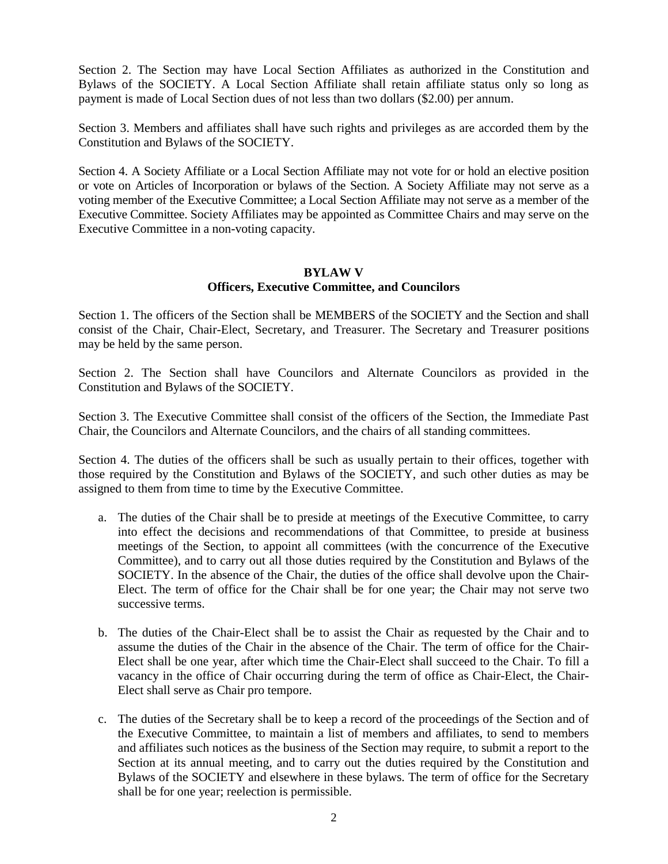Section 2. The Section may have Local Section Affiliates as authorized in the Constitution and Bylaws of the SOCIETY. A Local Section Affiliate shall retain affiliate status only so long as payment is made of Local Section dues of not less than two dollars (\$2.00) per annum.

Section 3. Members and affiliates shall have such rights and privileges as are accorded them by the Constitution and Bylaws of the SOCIETY.

Section 4. A Society Affiliate or a Local Section Affiliate may not vote for or hold an elective position or vote on Articles of Incorporation or bylaws of the Section. A Society Affiliate may not serve as a voting member of the Executive Committee; a Local Section Affiliate may not serve as a member of the Executive Committee. Society Affiliates may be appointed as Committee Chairs and may serve on the Executive Committee in a non-voting capacity.

# **BYLAW V Officers, Executive Committee, and Councilors**

Section 1. The officers of the Section shall be MEMBERS of the SOCIETY and the Section and shall consist of the Chair, Chair-Elect, Secretary, and Treasurer. The Secretary and Treasurer positions may be held by the same person.

Section 2. The Section shall have Councilors and Alternate Councilors as provided in the Constitution and Bylaws of the SOCIETY.

Section 3. The Executive Committee shall consist of the officers of the Section, the Immediate Past Chair, the Councilors and Alternate Councilors, and the chairs of all standing committees.

Section 4. The duties of the officers shall be such as usually pertain to their offices, together with those required by the Constitution and Bylaws of the SOCIETY, and such other duties as may be assigned to them from time to time by the Executive Committee.

- a. The duties of the Chair shall be to preside at meetings of the Executive Committee, to carry into effect the decisions and recommendations of that Committee, to preside at business meetings of the Section, to appoint all committees (with the concurrence of the Executive Committee), and to carry out all those duties required by the Constitution and Bylaws of the SOCIETY. In the absence of the Chair, the duties of the office shall devolve upon the Chair-Elect. The term of office for the Chair shall be for one year; the Chair may not serve two successive terms.
- b. The duties of the Chair-Elect shall be to assist the Chair as requested by the Chair and to assume the duties of the Chair in the absence of the Chair. The term of office for the Chair-Elect shall be one year, after which time the Chair-Elect shall succeed to the Chair. To fill a vacancy in the office of Chair occurring during the term of office as Chair-Elect, the Chair-Elect shall serve as Chair pro tempore.
- c. The duties of the Secretary shall be to keep a record of the proceedings of the Section and of the Executive Committee, to maintain a list of members and affiliates, to send to members and affiliates such notices as the business of the Section may require, to submit a report to the Section at its annual meeting, and to carry out the duties required by the Constitution and Bylaws of the SOCIETY and elsewhere in these bylaws. The term of office for the Secretary shall be for one year; reelection is permissible.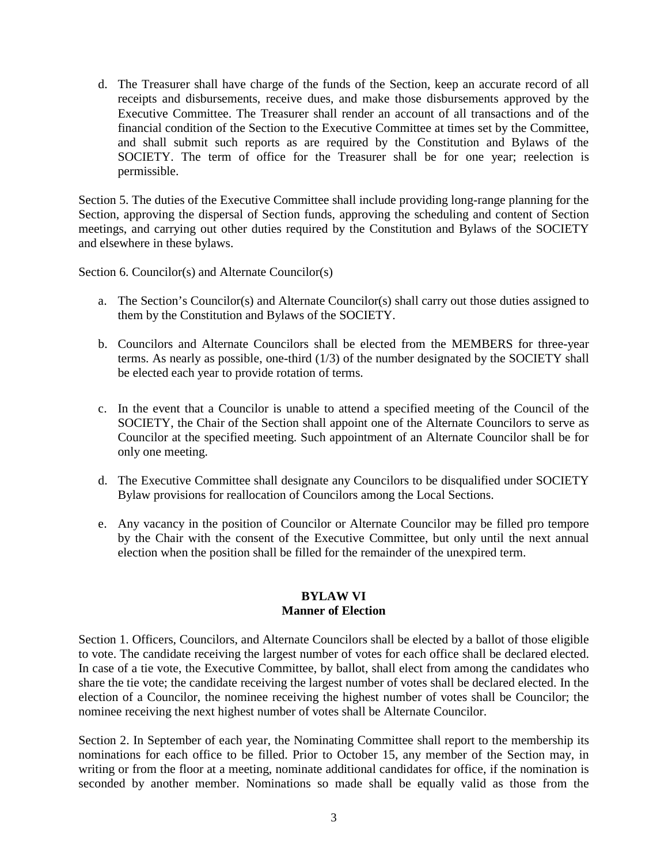d. The Treasurer shall have charge of the funds of the Section, keep an accurate record of all receipts and disbursements, receive dues, and make those disbursements approved by the Executive Committee. The Treasurer shall render an account of all transactions and of the financial condition of the Section to the Executive Committee at times set by the Committee, and shall submit such reports as are required by the Constitution and Bylaws of the SOCIETY. The term of office for the Treasurer shall be for one year; reelection is permissible.

Section 5. The duties of the Executive Committee shall include providing long-range planning for the Section, approving the dispersal of Section funds, approving the scheduling and content of Section meetings, and carrying out other duties required by the Constitution and Bylaws of the SOCIETY and elsewhere in these bylaws.

Section 6. Councilor(s) and Alternate Councilor(s)

- a. The Section's Councilor(s) and Alternate Councilor(s) shall carry out those duties assigned to them by the Constitution and Bylaws of the SOCIETY.
- b. Councilors and Alternate Councilors shall be elected from the MEMBERS for three-year terms. As nearly as possible, one-third (1/3) of the number designated by the SOCIETY shall be elected each year to provide rotation of terms.
- c. In the event that a Councilor is unable to attend a specified meeting of the Council of the SOCIETY, the Chair of the Section shall appoint one of the Alternate Councilors to serve as Councilor at the specified meeting. Such appointment of an Alternate Councilor shall be for only one meeting.
- d. The Executive Committee shall designate any Councilors to be disqualified under SOCIETY Bylaw provisions for reallocation of Councilors among the Local Sections.
- e. Any vacancy in the position of Councilor or Alternate Councilor may be filled pro tempore by the Chair with the consent of the Executive Committee, but only until the next annual election when the position shall be filled for the remainder of the unexpired term.

#### **BYLAW VI Manner of Election**

Section 1. Officers, Councilors, and Alternate Councilors shall be elected by a ballot of those eligible to vote. The candidate receiving the largest number of votes for each office shall be declared elected. In case of a tie vote, the Executive Committee, by ballot, shall elect from among the candidates who share the tie vote; the candidate receiving the largest number of votes shall be declared elected. In the election of a Councilor, the nominee receiving the highest number of votes shall be Councilor; the nominee receiving the next highest number of votes shall be Alternate Councilor.

Section 2. In September of each year, the Nominating Committee shall report to the membership its nominations for each office to be filled. Prior to October 15, any member of the Section may, in writing or from the floor at a meeting, nominate additional candidates for office, if the nomination is seconded by another member. Nominations so made shall be equally valid as those from the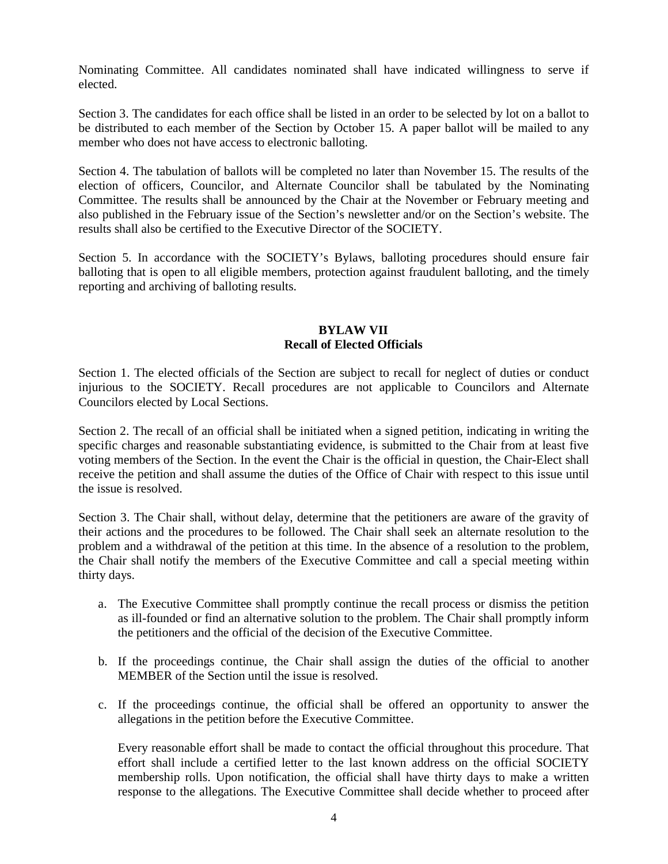Nominating Committee. All candidates nominated shall have indicated willingness to serve if elected.

Section 3. The candidates for each office shall be listed in an order to be selected by lot on a ballot to be distributed to each member of the Section by October 15. A paper ballot will be mailed to any member who does not have access to electronic balloting.

Section 4. The tabulation of ballots will be completed no later than November 15. The results of the election of officers, Councilor, and Alternate Councilor shall be tabulated by the Nominating Committee. The results shall be announced by the Chair at the November or February meeting and also published in the February issue of the Section's newsletter and/or on the Section's website. The results shall also be certified to the Executive Director of the SOCIETY.

Section 5. In accordance with the SOCIETY's Bylaws, balloting procedures should ensure fair balloting that is open to all eligible members, protection against fraudulent balloting, and the timely reporting and archiving of balloting results.

### **BYLAW VII Recall of Elected Officials**

Section 1. The elected officials of the Section are subject to recall for neglect of duties or conduct injurious to the SOCIETY. Recall procedures are not applicable to Councilors and Alternate Councilors elected by Local Sections.

Section 2. The recall of an official shall be initiated when a signed petition, indicating in writing the specific charges and reasonable substantiating evidence, is submitted to the Chair from at least five voting members of the Section. In the event the Chair is the official in question, the Chair-Elect shall receive the petition and shall assume the duties of the Office of Chair with respect to this issue until the issue is resolved.

Section 3. The Chair shall, without delay, determine that the petitioners are aware of the gravity of their actions and the procedures to be followed. The Chair shall seek an alternate resolution to the problem and a withdrawal of the petition at this time. In the absence of a resolution to the problem, the Chair shall notify the members of the Executive Committee and call a special meeting within thirty days.

- a. The Executive Committee shall promptly continue the recall process or dismiss the petition as ill-founded or find an alternative solution to the problem. The Chair shall promptly inform the petitioners and the official of the decision of the Executive Committee.
- b. If the proceedings continue, the Chair shall assign the duties of the official to another MEMBER of the Section until the issue is resolved.
- c. If the proceedings continue, the official shall be offered an opportunity to answer the allegations in the petition before the Executive Committee.

Every reasonable effort shall be made to contact the official throughout this procedure. That effort shall include a certified letter to the last known address on the official SOCIETY membership rolls. Upon notification, the official shall have thirty days to make a written response to the allegations. The Executive Committee shall decide whether to proceed after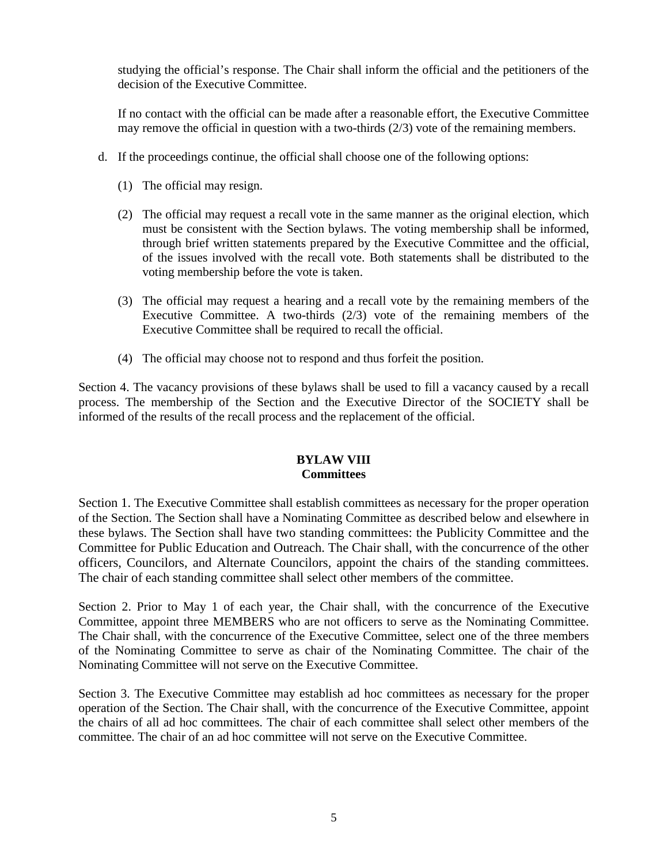studying the official's response. The Chair shall inform the official and the petitioners of the decision of the Executive Committee.

If no contact with the official can be made after a reasonable effort, the Executive Committee may remove the official in question with a two-thirds (2/3) vote of the remaining members.

- d. If the proceedings continue, the official shall choose one of the following options:
	- (1) The official may resign.
	- (2) The official may request a recall vote in the same manner as the original election, which must be consistent with the Section bylaws. The voting membership shall be informed, through brief written statements prepared by the Executive Committee and the official, of the issues involved with the recall vote. Both statements shall be distributed to the voting membership before the vote is taken.
	- (3) The official may request a hearing and a recall vote by the remaining members of the Executive Committee. A two-thirds (2/3) vote of the remaining members of the Executive Committee shall be required to recall the official.
	- (4) The official may choose not to respond and thus forfeit the position.

Section 4. The vacancy provisions of these bylaws shall be used to fill a vacancy caused by a recall process. The membership of the Section and the Executive Director of the SOCIETY shall be informed of the results of the recall process and the replacement of the official.

# **BYLAW VIII Committees**

Section 1. The Executive Committee shall establish committees as necessary for the proper operation of the Section. The Section shall have a Nominating Committee as described below and elsewhere in these bylaws. The Section shall have two standing committees: the Publicity Committee and the Committee for Public Education and Outreach. The Chair shall, with the concurrence of the other officers, Councilors, and Alternate Councilors, appoint the chairs of the standing committees. The chair of each standing committee shall select other members of the committee.

Section 2. Prior to May 1 of each year, the Chair shall, with the concurrence of the Executive Committee, appoint three MEMBERS who are not officers to serve as the Nominating Committee. The Chair shall, with the concurrence of the Executive Committee, select one of the three members of the Nominating Committee to serve as chair of the Nominating Committee. The chair of the Nominating Committee will not serve on the Executive Committee.

Section 3. The Executive Committee may establish ad hoc committees as necessary for the proper operation of the Section. The Chair shall, with the concurrence of the Executive Committee, appoint the chairs of all ad hoc committees. The chair of each committee shall select other members of the committee. The chair of an ad hoc committee will not serve on the Executive Committee.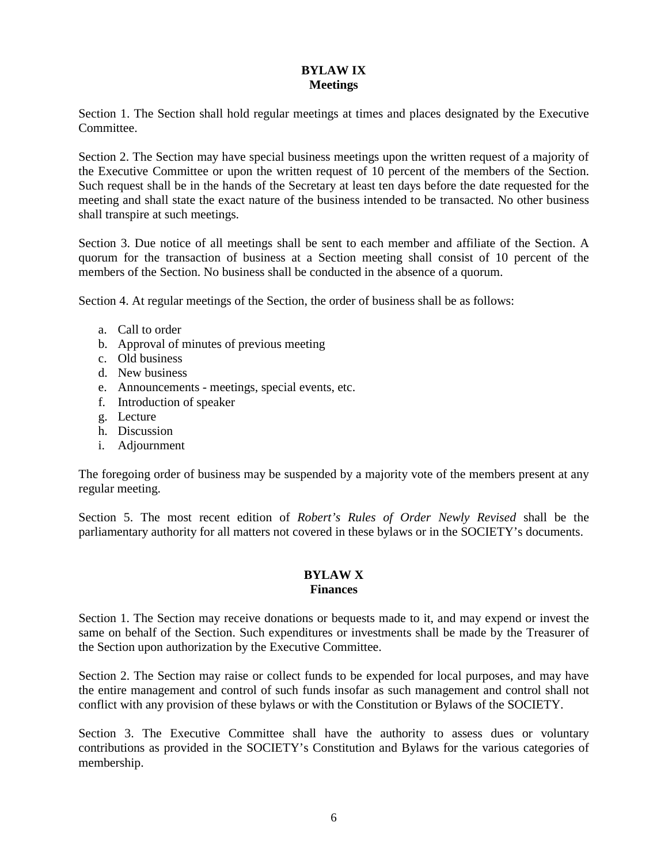# **BYLAW IX Meetings**

Section 1. The Section shall hold regular meetings at times and places designated by the Executive Committee.

Section 2. The Section may have special business meetings upon the written request of a majority of the Executive Committee or upon the written request of 10 percent of the members of the Section. Such request shall be in the hands of the Secretary at least ten days before the date requested for the meeting and shall state the exact nature of the business intended to be transacted. No other business shall transpire at such meetings.

Section 3. Due notice of all meetings shall be sent to each member and affiliate of the Section. A quorum for the transaction of business at a Section meeting shall consist of 10 percent of the members of the Section. No business shall be conducted in the absence of a quorum.

Section 4. At regular meetings of the Section, the order of business shall be as follows:

- a. Call to order
- b. Approval of minutes of previous meeting
- c. Old business
- d. New business
- e. Announcements meetings, special events, etc.
- f. Introduction of speaker
- g. Lecture
- h. Discussion
- i. Adjournment

The foregoing order of business may be suspended by a majority vote of the members present at any regular meeting.

Section 5. The most recent edition of *Robert's Rules of Order Newly Revised* shall be the parliamentary authority for all matters not covered in these bylaws or in the SOCIETY's documents.

#### **BYLAW X Finances**

Section 1. The Section may receive donations or bequests made to it, and may expend or invest the same on behalf of the Section. Such expenditures or investments shall be made by the Treasurer of the Section upon authorization by the Executive Committee.

Section 2. The Section may raise or collect funds to be expended for local purposes, and may have the entire management and control of such funds insofar as such management and control shall not conflict with any provision of these bylaws or with the Constitution or Bylaws of the SOCIETY.

Section 3. The Executive Committee shall have the authority to assess dues or voluntary contributions as provided in the SOCIETY's Constitution and Bylaws for the various categories of membership.